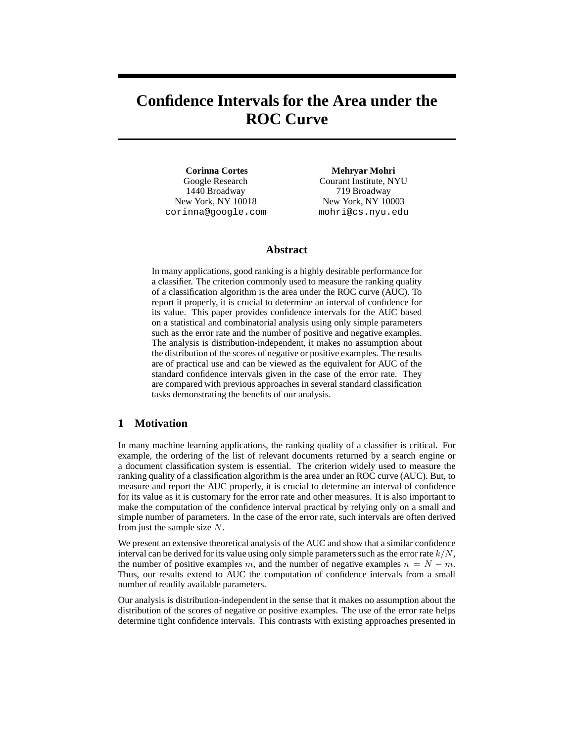# **Confidence Intervals for the Area under the ROC Curve**

**Corinna Cortes** Google Research 1440 Broadway New York, NY 10018 corinna@google.com

**Mehryar Mohri** Courant Institute, NYU 719 Broadway New York, NY 10003 mohri@cs.nyu.edu

#### **Abstract**

In many applications, good ranking is a highly desirable performance for a classifier. The criterion commonly used to measure the ranking quality of a classification algorithm is the area under the ROC curve (AUC). To report it properly, it is crucial to determine an interval of confidence for its value. This paper provides confidence intervals for the AUC based on a statistical and combinatorial analysis using only simple parameters such as the error rate and the number of positive and negative examples. The analysis is distribution-independent, it makes no assumption about the distribution of the scores of negative or positive examples. The results are of practical use and can be viewed as the equivalent for AUC of the standard confidence intervals given in the case of the error rate. They are compared with previous approaches in several standard classification tasks demonstrating the benefits of our analysis.

# **1 Motivation**

In many machine learning applications, the ranking quality of a classifier is critical. For example, the ordering of the list of relevant documents returned by a search engine or a document classification system is essential. The criterion widely used to measure the ranking quality of a classification algorithm is the area under an ROC curve (AUC). But, to measure and report the AUC properly, it is crucial to determine an interval of confidence for its value as it is customary for the error rate and other measures. It is also important to make the computation of the confidence interval practical by relying only on a small and simple number of parameters. In the case of the error rate, such intervals are often derived from just the sample size N.

We present an extensive theoretical analysis of the AUC and show that a similar confidence interval can be derived for its value using only simple parameters such as the error rate  $k/N$ . the number of positive examples m, and the number of negative examples  $n = N - m$ . Thus, our results extend to AUC the computation of confidence intervals from a small number of readily available parameters.

Our analysis is distribution-independent in the sense that it makes no assumption about the distribution of the scores of negative or positive examples. The use of the error rate helps determine tight confidence intervals. This contrasts with existing approaches presented in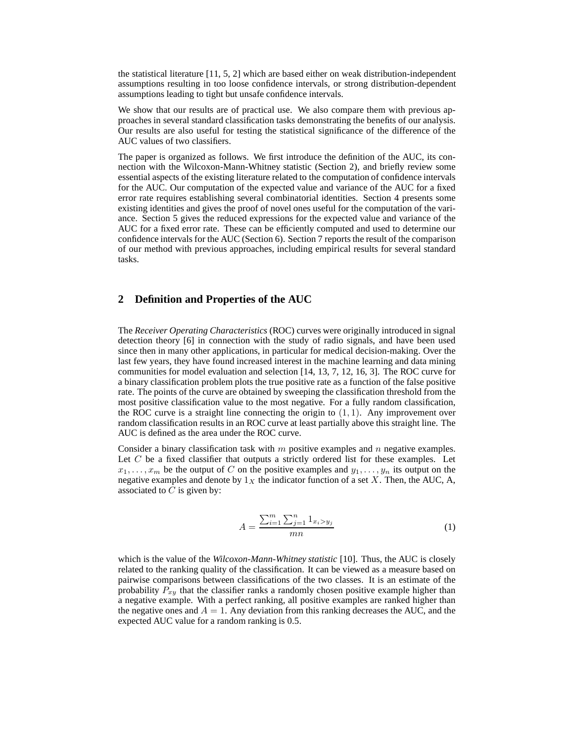the statistical literature [11, 5, 2] which are based either on weak distribution-independent assumptions resulting in too loose confidence intervals, or strong distribution-dependent assumptions leading to tight but unsafe confidence intervals.

We show that our results are of practical use. We also compare them with previous approaches in several standard classification tasks demonstrating the benefits of our analysis. Our results are also useful for testing the statistical significance of the difference of the AUC values of two classifiers.

The paper is organized as follows. We first introduce the definition of the AUC, its connection with the Wilcoxon-Mann-Whitney statistic (Section 2), and briefly review some essential aspects of the existing literature related to the computation of confidence intervals for the AUC. Our computation of the expected value and variance of the AUC for a fixed error rate requires establishing several combinatorial identities. Section 4 presents some existing identities and gives the proof of novel ones useful for the computation of the variance. Section 5 gives the reduced expressions for the expected value and variance of the AUC for a fixed error rate. These can be efficiently computed and used to determine our confidence intervals for the AUC (Section 6). Section 7 reports the result of the comparison of our method with previous approaches, including empirical results for several standard tasks.

### **2 Definition and Properties of the AUC**

The *Receiver Operating Characteristics* (ROC) curves were originally introduced in signal detection theory [6] in connection with the study of radio signals, and have been used since then in many other applications, in particular for medical decision-making. Over the last few years, they have found increased interest in the machine learning and data mining communities for model evaluation and selection [14, 13, 7, 12, 16, 3]. The ROC curve for a binary classification problem plots the true positive rate as a function of the false positive rate. The points of the curve are obtained by sweeping the classification threshold from the most positive classification value to the most negative. For a fully random classification, the ROC curve is a straight line connecting the origin to  $(1, 1)$ . Any improvement over random classification results in an ROC curve at least partially above this straight line. The AUC is defined as the area under the ROC curve.

Consider a binary classification task with  $m$  positive examples and  $n$  negative examples. Let  $C$  be a fixed classifier that outputs a strictly ordered list for these examples. Let  $x_1, \ldots, x_m$  be the output of C on the positive examples and  $y_1, \ldots, y_n$  its output on the negative examples and denote by  $1<sub>X</sub>$  the indicator function of a set X. Then, the AUC, A, associated to  $C$  is given by:

$$
A = \frac{\sum_{i=1}^{m} \sum_{j=1}^{n} 1_{x_i > y_j}}{mn}
$$
 (1)

which is the value of the *Wilcoxon-Mann-Whitney statistic* [10]. Thus, the AUC is closely related to the ranking quality of the classification. It can be viewed as a measure based on pairwise comparisons between classifications of the two classes. It is an estimate of the probability  $P_{xy}$  that the classifier ranks a randomly chosen positive example higher than a negative example. With a perfect ranking, all positive examples are ranked higher than the negative ones and  $A = 1$ . Any deviation from this ranking decreases the AUC, and the expected AUC value for a random ranking is 0.5.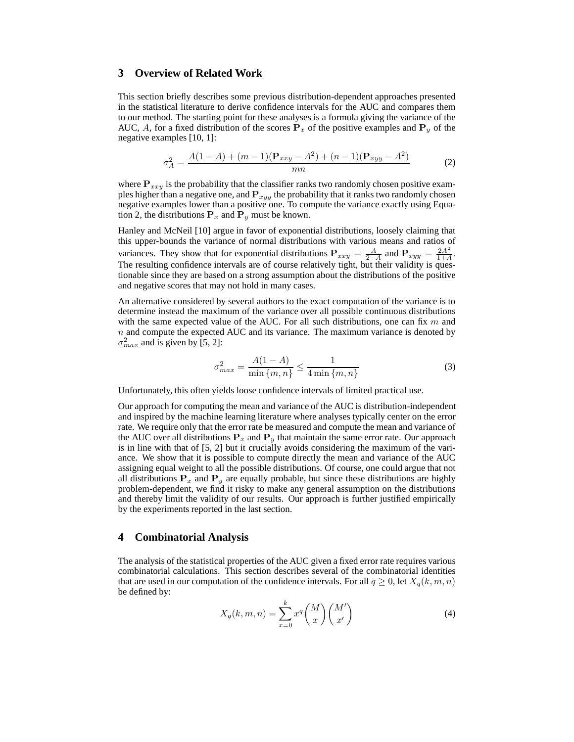## **3 Overview of Related Work**

This section briefly describes some previous distribution-dependent approaches presented in the statistical literature to derive confidence intervals for the AUC and compares them to our method. The starting point for these analyses is a formula giving the variance of the AUC, A, for a fixed distribution of the scores  $P_x$  of the positive examples and  $P_y$  of the negative examples [10, 1]:

$$
\sigma_A^2 = \frac{A(1-A) + (m-1)(\mathbf{P}_{xxy} - A^2) + (n-1)(\mathbf{P}_{xyy} - A^2)}{mn}
$$
 (2)

where  $P_{xxy}$  is the probability that the classifier ranks two randomly chosen positive examples higher than a negative one, and  $P_{xyy}$  the probability that it ranks two randomly chosen negative examples lower than a positive one. To compute the variance exactly using Equation 2, the distributions  $P_x$  and  $P_y$  must be known.

Hanley and McNeil [10] argue in favor of exponential distributions, loosely claiming that this upper-bounds the variance of normal distributions with various means and ratios of variances. They show that for exponential distributions  $P_{xxy} = \frac{A}{2-A}$  and  $P_{xyy} = \frac{2A^2}{1+A}$  $\frac{2A^2}{1+A}$ . The resulting confidence intervals are of course relatively tight, but their validity is questionable since they are based on a strong assumption about the distributions of the positive and negative scores that may not hold in many cases.

An alternative considered by several authors to the exact computation of the variance is to determine instead the maximum of the variance over all possible continuous distributions with the same expected value of the AUC. For all such distributions, one can fix  $m$  and  $n$  and compute the expected AUC and its variance. The maximum variance is denoted by  $\sigma_{max}^2$  and is given by [5, 2]:

$$
\sigma_{max}^2 = \frac{A(1-A)}{\min\{m,n\}} \le \frac{1}{4\min\{m,n\}}\tag{3}
$$

Unfortunately, this often yields loose confidence intervals of limited practical use.

Our approach for computing the mean and variance of the AUC is distribution-independent and inspired by the machine learning literature where analyses typically center on the error rate. We require only that the error rate be measured and compute the mean and variance of the AUC over all distributions  $P_x$  and  $P_y$  that maintain the same error rate. Our approach is in line with that of [5, 2] but it crucially avoids considering the maximum of the variance. We show that it is possible to compute directly the mean and variance of the AUC assigning equal weight to all the possible distributions. Of course, one could argue that not all distributions  $P_x$  and  $P_y$  are equally probable, but since these distributions are highly problem-dependent, we find it risky to make any general assumption on the distributions and thereby limit the validity of our results. Our approach is further justified empirically by the experiments reported in the last section.

#### **4 Combinatorial Analysis**

The analysis of the statistical properties of the AUC given a fixed error rate requires various combinatorial calculations. This section describes several of the combinatorial identities that are used in our computation of the confidence intervals. For all  $q \ge 0$ , let  $X_q(k, m, n)$ be defined by:

$$
X_q(k,m,n) = \sum_{x=0}^k x^q \binom{M}{x} \binom{M'}{x'}
$$
 (4)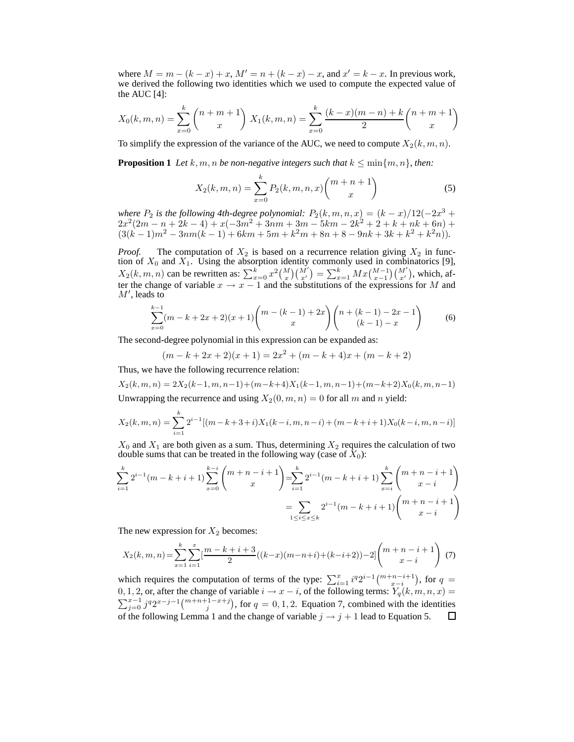where  $M = m - (k - x) + x$ ,  $M' = n + (k - x) - x$ , and  $x' = k - x$ . In previous work, we derived the following two identities which we used to compute the expected value of the AUC  $[4]$ :

$$
X_0(k, m, n) = \sum_{x=0}^k {n+m+1 \choose x} X_1(k, m, n) = \sum_{x=0}^k \frac{(k-x)(m-n) + k}{2} {n+m+1 \choose x}
$$

To simplify the expression of the variance of the AUC, we need to compute  $X_2(k, m, n)$ .

**Proposition 1** Let k, m, n be non-negative integers such that  $k \leq \min\{m, n\}$ , then:

$$
X_2(k,m,n) = \sum_{x=0}^{k} P_2(k,m,n,x) \binom{m+n+1}{x}
$$
 (5)

*where*  $P_2$  *is the following 4th-degree polynomial:*  $P_2(k, m, n, x) = (k - x)/12(-2x^3 + x^2)/2$  $2x^2(2m-n+2k-4)+x(-3m^2+3nm+3m-5km-2k^2+2+k+nk+6n)$  $(3(k-1)m^2 - 3nm(k-1) + 6km + 5m + k^2m + 8n + 8 - 9nk + 3k + k^2 + k^2n)).$ 

*Proof.* The computation of  $X_2$  is based on a recurrence relation giving  $X_2$  in function of  $X_0$  and  $X_1$ . Using the absorption identity commonly used in combinatorics [9],  $X_2(k, m, n)$  can be rewritten as:  $\sum_{x=0}^{k} x^2 {M \choose x} {M' \choose x'} = \sum_{x=1}^{k} M x {M-1 \choose x-1} {M' \choose x'}$ , which, after the change of variable  $x \to x - 1$  and the substitutions of the expressions for M and  $M'$ , leads to

$$
\sum_{x=0}^{k-1} (m-k+2x+2)(x+1) \binom{m-(k-1)+2x}{x} \binom{n+(k-1)-2x-1}{(k-1)-x} \tag{6}
$$

The second-degree polynomial in this expression can be expanded as:

 $(m-k+2x+2)(x+1) = 2x^2 + (m-k+4)x + (m-k+2)$ 

Thus, we have the following recurrence relation:

 $X_2(k, m, n) = 2X_2(k-1, m, n-1) + (m-k+4)X_1(k-1, m, n-1) + (m-k+2)X_0(k, m, n-1)$ Unwrapping the recurrence and using  $X_2(0, m, n) = 0$  for all m and n yield:

$$
X_2(k,m,n) = \sum_{i=1}^k 2^{i-1} [(m-k+3+i)X_1(k-i,m,n-i) + (m-k+i+1)X_0(k-i,m,n-i)]
$$

 $X_0$  and  $X_1$  are both given as a sum. Thus, determining  $X_2$  requires the calculation of two double sums that can be treated in the following way (case of  $X_0$ ):

$$
\sum_{i=1}^{k} 2^{i-1} (m - k + i + 1) \sum_{x=0}^{k-i} {m+n-i+1 \choose x} = \sum_{i=1}^{k} 2^{i-1} (m - k + i + 1) \sum_{x=i}^{k} {m+n-i+1 \choose x-i}
$$

$$
= \sum_{1 \le i \le x \le k} 2^{i-1} (m - k + i + 1) {m+n-i+1 \choose x-i}
$$

The new expression for  $X_2$  becomes:

$$
X_2(k,m,n) = \sum_{x=1}^k \sum_{i=1}^x \left[ \frac{m-k+i+3}{2}((k-x)(m-n+i)+(k-i+2)) - 2 \right] \binom{m+n-i+1}{x-i} \tag{7}
$$

which requires the computation of terms of the type:  $\sum_{i=1}^{x} i^{q} 2^{i-1} \binom{m+n-i+1}{x-i}$ , for  $q =$ 0, 1, 2, or, after the change of variable  $i \rightarrow x - i$ , of the following terms:  $Y_q(k, m, n, x) =$  $\sum_{j=0}^{x-1} j^q 2^{x-j-1} \binom{m+n+1-x+j}{j}$ , for  $q = 0, 1, 2$ . Equation 7, combined with the identities of the following Lemma 1 and the change of variable  $j \rightarrow j+1$  lead to Equation 5. 口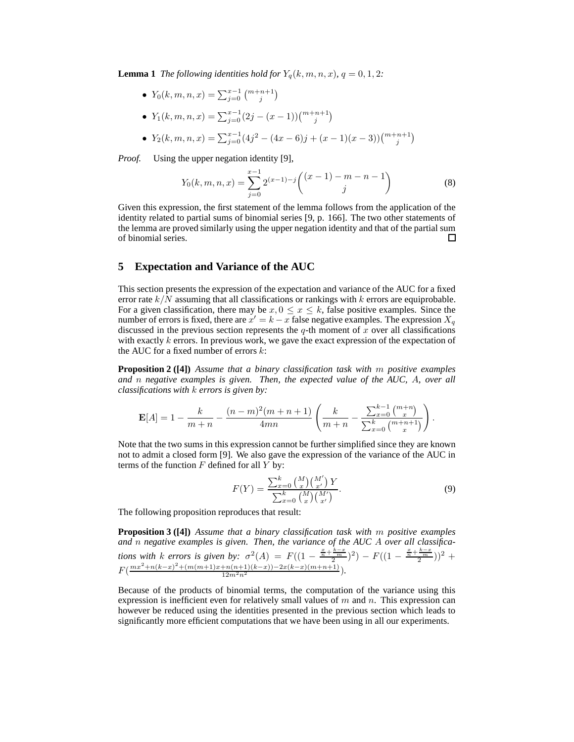**Lemma 1** *The following identities hold for*  $Y_q(k, m, n, x)$ *,*  $q = 0, 1, 2$ *:* 

•  $Y_0(k, m, n, x) = \sum_{j=0}^{x-1} \binom{m+n+1}{j}$ 

• 
$$
Y_1(k, m, n, x) = \sum_{j=0}^{x-1} (2j - (x-1)) \binom{m+n+1}{j}
$$
  
•  $Y(k, m, n, x) = \sum_{j=0}^{x-1} (4j^2 - (4m - 6)i + (m - 1)(m - 2)) \binom{m+n+1}{j}$ 

• 
$$
Y_2(k, m, n, x) = \sum_{j=0}^{x-1} (4j^2 - (4x - 6)j + (x - 1)(x - 3))\binom{m+n+1}{j}
$$

*Proof.* Using the upper negation identity [9],

$$
Y_0(k, m, n, x) = \sum_{j=0}^{x-1} 2^{(x-1)-j} \binom{(x-1) - m - n - 1}{j}
$$
 (8)

Given this expression, the first statement of the lemma follows from the application of the identity related to partial sums of binomial series [9, p. 166]. The two other statements of the lemma are proved similarly using the upper negation identity and that of the partial sum of binomial series.  $\Box$ 

#### **5 Expectation and Variance of the AUC**

This section presents the expression of the expectation and variance of the AUC for a fixed error rate  $k/N$  assuming that all classifications or rankings with k errors are equiprobable. For a given classification, there may be  $x, 0 \le x \le k$ , false positive examples. Since the number of errors is fixed, there are  $x' = k - x$  false negative examples. The expression  $X_q$ discussed in the previous section represents the  $q$ -th moment of x over all classifications with exactly k errors. In previous work, we gave the exact expression of the expectation of the AUC for a fixed number of errors  $k$ :

**Proposition 2 ([4])** *Assume that a binary classification task with* m *positive examples and* n *negative examples is given. Then, the expected value of the AUC,* A*, over all classifications with* k *errors is given by:*

$$
\mathbf{E}[A] = 1 - \frac{k}{m+n} - \frac{(n-m)^2(m+n+1)}{4mn} \left( \frac{k}{m+n} - \frac{\sum_{x=0}^{k-1} {m+n \choose x}}{\sum_{x=0}^{k} {m+n+1 \choose x}} \right).
$$

Note that the two sums in this expression cannot be further simplified since they are known not to admit a closed form [9]. We also gave the expression of the variance of the AUC in terms of the function  $F$  defined for all  $Y$  by:

$$
F(Y) = \frac{\sum_{x=0}^{k} {M \choose x} {M' \choose x'}}{\sum_{x=0}^{k} {M \choose x} {M' \choose x'}}.
$$
\n(9)

The following proposition reproduces that result:

**Proposition 3 ([4])** *Assume that a binary classification task with* m *positive examples and* n *negative examples is given. Then, the variance of the AUC* A *over all classifications with* k errors is given by:  $\sigma^2(A) = F((1 - \frac{\frac{x}{n} + \frac{k-x}{2}}{2})^2) - F((1 - \frac{\frac{x}{n} + \frac{k-x}{2}}{2}))^2 +$  $F(\frac{mx^2+n(k-x)^2+(m(m+1)x+n(n+1)(k-x))-2x(k-x)(m+n+1)}{12m^2n^2}).$ 

Because of the products of binomial terms, the computation of the variance using this expression is inefficient even for relatively small values of  $m$  and  $n$ . This expression can however be reduced using the identities presented in the previous section which leads to significantly more efficient computations that we have been using in all our experiments.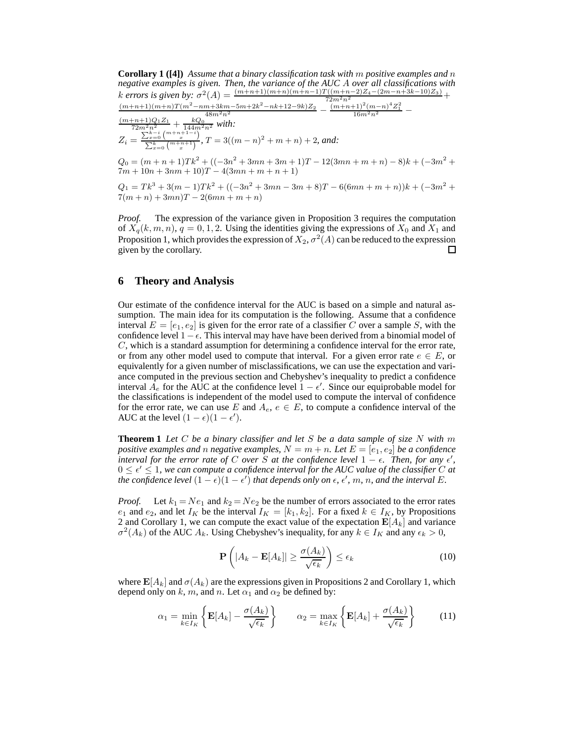**Corollary 1 ([4])** *Assume that a binary classification task with* m *positive examples and* n *negative examples is given. Then, the variance of the AUC* A *over all classifications with* k errors is given by:  $\sigma^2(A) = \frac{(m+n+1)(m+n)(m+n-1)T((m+n-2)Z_4-(2m-n+3k-10)Z_3)}{72m^2n^2} +$  $\frac{(m+n+1)(m+n)T(m^2-nm+3km-5m+2k^2-nk+12-9k)Z_2}{48m^2n^2} - \frac{(m+n+1)^2(m-n)^4Z_1^2}{16m^2n^2} - \frac{(m+n+1)Q_1Z_1}{72m^2n^2} + \frac{kQ_0}{144m^2n^2}$  with:  $Z_i = \frac{\sum_{x=0}^{k-i} \binom{m+n+1-i}{x}}{\sum_{k}^{k} \binom{m+n+1}{x}}$  $\sum_{x=0}^{x=0} {m+n+1 \choose x}$ ,  $T = 3((m-n)^2 + m + n) + 2$ , and:  $Q_0 = (m+n+1)Tk^2 + ((-3n^2+3mn+3m+1)T - 12(3mn+m+n) - 8)k + (-3m^2+$  $7m + 10n + 3nm + 10$ <br>T –  $4(3mn + m + n + 1)$ 

 $Q_1 = Tk^3 + 3(m-1)Tk^2 + ((-3n^2 + 3mn - 3m + 8)T - 6(6mn + m + n))k + (-3m^2 +$  $7(m+n) + 3mn)T - 2(6mn + m + n)$ 

*Proof.* The expression of the variance given in Proposition 3 requires the computation of  $X_q(k, m, n)$ ,  $q = 0, 1, 2$ . Using the identities giving the expressions of  $X_0$  and  $X_1$  and Proposition 1, which provides the expression of  $X_2, \sigma^2(A)$  can be reduced to the expression given by the corollary.  $\Box$ 

#### **6 Theory and Analysis**

Our estimate of the confidence interval for the AUC is based on a simple and natural assumption. The main idea for its computation is the following. Assume that a confidence interval  $E = [e_1, e_2]$  is given for the error rate of a classifier C over a sample S, with the confidence level  $1 - \epsilon$ . This interval may have have been derived from a binomial model of C, which is a standard assumption for determining a confidence interval for the error rate, or from any other model used to compute that interval. For a given error rate  $e \in E$ , or equivalently for a given number of misclassifications, we can use the expectation and variance computed in the previous section and Chebyshev's inequality to predict a confidence interval  $A_e$  for the AUC at the confidence level  $1 - \epsilon'$ . Since our equiprobable model for the classifications is independent of the model used to compute the interval of confidence for the error rate, we can use E and  $A_e, e \in E$ , to compute a confidence interval of the AUC at the level  $(1 - \epsilon)(1 - \epsilon')$ .

**Theorem 1** *Let* C *be a binary classifier and let* S *be a data sample of size* N *with* m *positive examples and n negative examples,*  $N = m + n$ *. Let*  $E = [e_1, e_2]$  *be a confidence interval for the error rate of* C *over* S *at the confidence level*  $1 - \epsilon$ . Then, for any  $\epsilon'$ ,  $0 \leq \epsilon' \leq 1$ , we can compute a confidence interval for the AUC value of the classifier C at *the confidence level*  $(1 - \epsilon)(1 - \epsilon')$  *that depends only on*  $\epsilon$ *,*  $\epsilon'$ *, m, n, and the interval E.* 

*Proof.* Let  $k_1 = Ne_1$  and  $k_2 = Ne_2$  be the number of errors associated to the error rates  $e_1$  and  $e_2$ , and let  $I_K$  be the interval  $I_K = [k_1, k_2]$ . For a fixed  $k \in I_K$ , by Propositions 2 and Corollary 1, we can compute the exact value of the expectation  $E[A_k]$  and variance  $\sigma^2(A_k)$  of the AUC  $A_k$ . Using Chebyshev's inequality, for any  $k \in I_K$  and any  $\epsilon_k > 0$ ,

$$
\mathbf{P}\left(|A_k - \mathbf{E}[A_k]| \ge \frac{\sigma(A_k)}{\sqrt{\epsilon_k}}\right) \le \epsilon_k \tag{10}
$$

where  $\mathbf{E}[A_k]$  and  $\sigma(A_k)$  are the expressions given in Propositions 2 and Corollary 1, which depend only on k, m, and n. Let  $\alpha_1$  and  $\alpha_2$  be defined by:

$$
\alpha_1 = \min_{k \in I_K} \left\{ \mathbf{E}[A_k] - \frac{\sigma(A_k)}{\sqrt{\epsilon_k}} \right\} \qquad \alpha_2 = \max_{k \in I_K} \left\{ \mathbf{E}[A_k] + \frac{\sigma(A_k)}{\sqrt{\epsilon_k}} \right\} \tag{11}
$$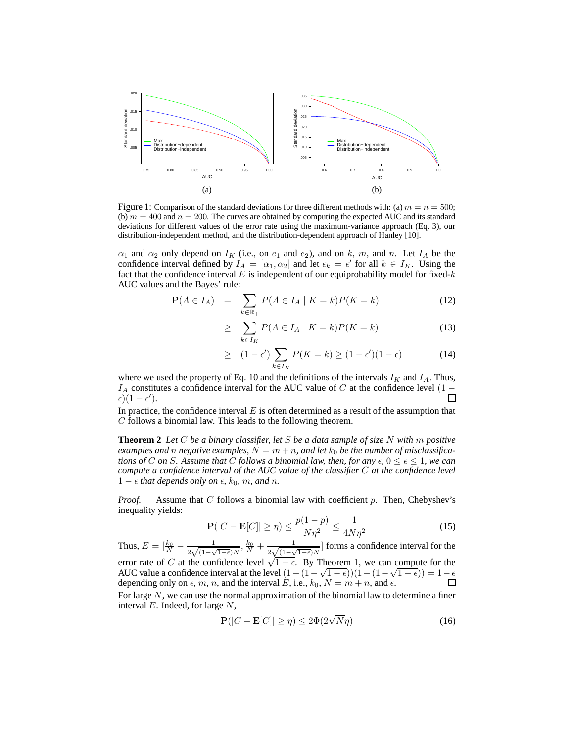

Figure 1: Comparison of the standard deviations for three different methods with: (a)  $m = n = 500$ ; (b)  $m = 400$  and  $n = 200$ . The curves are obtained by computing the expected AUC and its standard deviations for different values of the error rate using the maximum-variance approach (Eq. 3), our distribution-independent method, and the distribution-dependent approach of Hanley [10].

 $\alpha_1$  and  $\alpha_2$  only depend on  $I_K$  (i.e., on  $e_1$  and  $e_2$ ), and on k, m, and n. Let  $I_A$  be the confidence interval defined by  $I_A = [\alpha_1, \alpha_2]$  and let  $\epsilon_k = \epsilon'$  for all  $k \in I_K$ . Using the fact that the confidence interval E is independent of our equiprobability model for fixed- $k$ AUC values and the Bayes' rule:

$$
\mathbf{P}(A \in I_A) = \sum_{k \in \mathbb{R}_+} P(A \in I_A \mid K = k) P(K = k) \tag{12}
$$

$$
\geq \sum_{k \in I_K} P(A \in I_A \mid K = k) P(K = k) \tag{13}
$$

$$
\geq (1 - \epsilon') \sum_{k \in I_K} P(K = k) \geq (1 - \epsilon')(1 - \epsilon) \tag{14}
$$

where we used the property of Eq. 10 and the definitions of the intervals  $I_K$  and  $I_A$ . Thus, *IA* constitutes a confidence interval for the AUC value of *C* at the confidence level  $(1 - \epsilon)(1 - \epsilon')$ . □  $(\epsilon)(1-\epsilon').$ 

In practice, the confidence interval  $E$  is often determined as a result of the assumption that C follows a binomial law. This leads to the following theorem.

**Theorem 2** *Let* C *be a binary classifier, let* S *be a data sample of size* N *with* m *positive* examples and n negative examples,  $N = m + n$ , and let  $k_0$  be the number of misclassifica*tions of* C *on* S. Assume that C follows a binomial law, then, for any  $\epsilon$ ,  $0 \leq \epsilon \leq 1$ , we can *compute a confidence interval of the AUC value of the classifier* C *at the confidence level*  $1 − ε$  *that depends only on*  $\epsilon$ *, k*<sub>0</sub>*, m, and n.* 

*Proof.* Assume that C follows a binomial law with coefficient p. Then, Chebyshev's inequality yields:

$$
\mathbf{P}(|C - \mathbf{E}[C]| \ge \eta) \le \frac{p(1 - p)}{N\eta^2} \le \frac{1}{4N\eta^2}
$$
 (15)

Thus,  $E = \left[\frac{k_0}{N} - \frac{1}{2\sqrt{(1-\lambda)}}\right]$  $\frac{1}{2\sqrt{(1-\sqrt{1-\epsilon})N}}, \frac{k_0}{N}+\frac{1}{2\sqrt{(1-\sqrt{1-\epsilon})N}}$  $\frac{1}{2\sqrt{(1-\sqrt{1-\epsilon})N}}$  forms a confidence interval for the error rate of C at the confidence level  $\sqrt{1-\epsilon}$ . By Theorem 1, we can compute for the AUC value a confidence interval at the level  $(1 - (1 - \sqrt{1 - \epsilon}))(1 - (1 - \sqrt{1 - \epsilon})) = 1 - \epsilon$ depending only on  $\epsilon$ , m, n, and the interval E, i.e.,  $k_0$ ,  $N = m + n$ , and  $\epsilon$ . For large  $N$ , we can use the normal approximation of the binomial law to determine a finer interval  $E$ . Indeed, for large  $N$ ,

$$
\mathbf{P}(|C - \mathbf{E}[C]| \ge \eta) \le 2\Phi(2\sqrt{N}\eta)
$$
\n(16)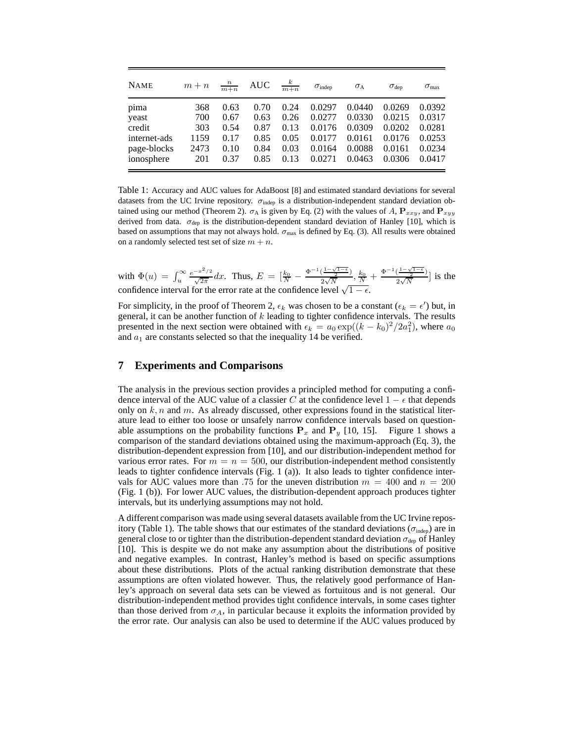| <b>NAME</b>  | $m + n$ | $\frac{n}{m+n}$ | <b>AUC</b> | $\frac{k}{m+n}$ | $\sigma_{\text{indep}}$ | $\sigma_{\rm A}$ | $\sigma_{\rm dep}$ | $\sigma_{\text{max}}$ |
|--------------|---------|-----------------|------------|-----------------|-------------------------|------------------|--------------------|-----------------------|
| pima         | 368     | 0.63            | 0.70       | 0.24            | 0.0297                  | 0.0440           | 0.0269             | 0.0392                |
| yeast        | 700     | 0.67            | 0.63       | 0.26            | 0.0277                  | 0.0330           | 0.0215             | 0.0317                |
| credit       | 303     | 0.54            | 0.87       | 0.13            | 0.0176                  | 0.0309           | 0.0202             | 0.0281                |
| internet-ads | 1159    | 0.17            | 0.85       | 0.05            | 0.0177                  | 0.0161           | 0.0176             | 0.0253                |
| page-blocks  | 2473    | 0.10            | 0.84       | 0.03            | 0.0164                  | 0.0088           | 0.0161             | 0.0234                |
| ionosphere   | 201     | 0.37            | 0.85       | 0.13            | 0.0271                  | 0.0463           | 0.0306             | 0.0417                |

Table 1: Accuracy and AUC values for AdaBoost [8] and estimated standard deviations for several datasets from the UC Irvine repository.  $\sigma_{\text{indep}}$  is a distribution-independent standard deviation obtained using our method (Theorem 2).  $\sigma_A$  is given by Eq. (2) with the values of A,  $P_{xxy}$ , and  $P_{xyy}$ derived from data.  $\sigma_{dep}$  is the distribution-dependent standard deviation of Hanley [10], which is based on assumptions that may not always hold.  $\sigma_{\text{max}}$  is defined by Eq. (3). All results were obtained on a randomly selected test set of size  $m + n$ .

with  $\Phi(u) = \int_u^{\infty} \frac{e^{-x^2/2}}{\sqrt{2\pi}} dx$ . Thus,  $E = \left[\frac{k_0}{N} - \frac{\Phi^{-1}(\frac{1-\sqrt{1-\epsilon}}{2})}{2\sqrt{N}}\right]$  $\frac{\left(\frac{1-\sqrt{1-\epsilon}}{2}\right)}{2\sqrt{N}},\frac{k_0}{N}+\frac{\Phi^{-1}\left(\frac{1-\sqrt{1-\epsilon}}{2}\right)}{2\sqrt{N}}$  $\frac{\left(\frac{2}{2}\right)}{2\sqrt{N}}$  is the confidence interval for the error rate at the confidence level  $\sqrt{1 - \epsilon}$ .

For simplicity, in the proof of Theorem 2,  $\epsilon_k$  was chosen to be a constant ( $\epsilon_k = \epsilon'$ ) but, in general, it can be another function of  $k$  leading to tighter confidence intervals. The results presented in the next section were obtained with  $\epsilon_k = a_0 \exp((k - k_0)^2 / 2a_1^2)$ , where  $a_0$ and  $a_1$  are constants selected so that the inequality 14 be verified.

#### **7 Experiments and Comparisons**

The analysis in the previous section provides a principled method for computing a confidence interval of the AUC value of a classier C at the confidence level  $1 - \epsilon$  that depends only on  $k, n$  and m. As already discussed, other expressions found in the statistical literature lead to either too loose or unsafely narrow confidence intervals based on questionable assumptions on the probability functions  $P_x$  and  $P_y$  [10, 15]. Figure 1 shows a comparison of the standard deviations obtained using the maximum-approach (Eq. 3), the distribution-dependent expression from [10], and our distribution-independent method for various error rates. For  $m = n = 500$ , our distribution-independent method consistently leads to tighter confidence intervals (Fig. 1 (a)). It also leads to tighter confidence intervals for AUC values more than .75 for the uneven distribution  $m = 400$  and  $n = 200$ (Fig. 1 (b)). For lower AUC values, the distribution-dependent approach produces tighter intervals, but its underlying assumptions may not hold.

A different comparison was made using several datasets available from the UC Irvine repository (Table 1). The table shows that our estimates of the standard deviations ( $\sigma_{\text{inden}}$ ) are in general close to or tighter than the distribution-dependent standard deviation  $\sigma_{\text{dep}}$  of Hanley [10]. This is despite we do not make any assumption about the distributions of positive and negative examples. In contrast, Hanley's method is based on specific assumptions about these distributions. Plots of the actual ranking distribution demonstrate that these assumptions are often violated however. Thus, the relatively good performance of Hanley's approach on several data sets can be viewed as fortuitous and is not general. Our distribution-independent method provides tight confidence intervals, in some cases tighter than those derived from  $\sigma_A$ , in particular because it exploits the information provided by the error rate. Our analysis can also be used to determine if the AUC values produced by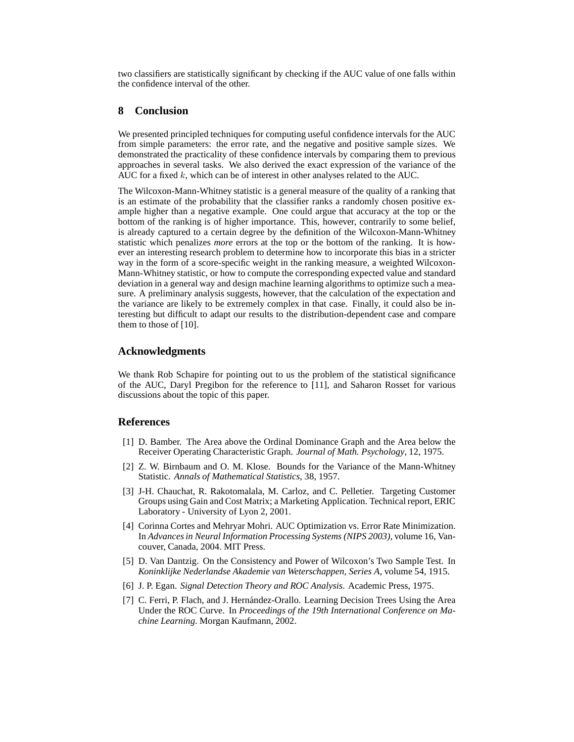two classifiers are statistically significant by checking if the AUC value of one falls within the confidence interval of the other.

#### **8 Conclusion**

We presented principled techniques for computing useful confidence intervals for the AUC from simple parameters: the error rate, and the negative and positive sample sizes. We demonstrated the practicality of these confidence intervals by comparing them to previous approaches in several tasks. We also derived the exact expression of the variance of the AUC for a fixed  $k$ , which can be of interest in other analyses related to the AUC.

The Wilcoxon-Mann-Whitney statistic is a general measure of the quality of a ranking that is an estimate of the probability that the classifier ranks a randomly chosen positive example higher than a negative example. One could argue that accuracy at the top or the bottom of the ranking is of higher importance. This, however, contrarily to some belief, is already captured to a certain degree by the definition of the Wilcoxon-Mann-Whitney statistic which penalizes *more* errors at the top or the bottom of the ranking. It is however an interesting research problem to determine how to incorporate this bias in a stricter way in the form of a score-specific weight in the ranking measure, a weighted Wilcoxon-Mann-Whitney statistic, or how to compute the corresponding expected value and standard deviation in a general way and design machine learning algorithms to optimize such a measure. A preliminary analysis suggests, however, that the calculation of the expectation and the variance are likely to be extremely complex in that case. Finally, it could also be interesting but difficult to adapt our results to the distribution-dependent case and compare them to those of [10].

#### **Acknowledgments**

We thank Rob Schapire for pointing out to us the problem of the statistical significance of the AUC, Daryl Pregibon for the reference to [11], and Saharon Rosset for various discussions about the topic of this paper.

#### **References**

- [1] D. Bamber. The Area above the Ordinal Dominance Graph and the Area below the Receiver Operating Characteristic Graph. *Journal of Math. Psychology*, 12, 1975.
- [2] Z. W. Birnbaum and O. M. Klose. Bounds for the Variance of the Mann-Whitney Statistic. *Annals of Mathematical Statistics*, 38, 1957.
- [3] J-H. Chauchat, R. Rakotomalala, M. Carloz, and C. Pelletier. Targeting Customer Groups using Gain and Cost Matrix; a Marketing Application. Technical report, ERIC Laboratory - University of Lyon 2, 2001.
- [4] Corinna Cortes and Mehryar Mohri. AUC Optimization vs. Error Rate Minimization. In *Advances in Neural Information Processing Systems (NIPS 2003)*, volume 16, Vancouver, Canada, 2004. MIT Press.
- [5] D. Van Dantzig. On the Consistency and Power of Wilcoxon's Two Sample Test. In *Koninklijke Nederlandse Akademie van Weterschappen, Series A*, volume 54, 1915.
- [6] J. P. Egan. *Signal Detection Theory and ROC Analysis*. Academic Press, 1975.
- [7] C. Ferri, P. Flach, and J. Hern´andez-Orallo. Learning Decision Trees Using the Area Under the ROC Curve. In *Proceedings of the 19th International Conference on Machine Learning*. Morgan Kaufmann, 2002.